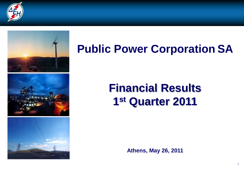



# **Public Power Corporation SA**

# **Financial Results 1 st Quarter 2011**

**Athens, May 26, 2011**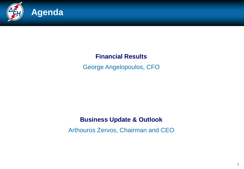

### **Financial Results**

George Angelopoulos, CFO

### **Business Update & Outlook**

Arthouros Zervos, Chairman and CEO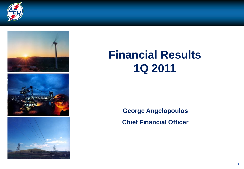



# **Financial Results 1Q 2011**

**George Angelopoulos Chief Financial Officer**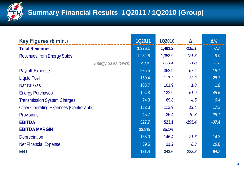

# **Summary Financial Results 1Q2011 / 1Q2010 (Group)**

| $\mathscr{Y}$<br>$\mathbf{v}$                  |               |               |                  |            |
|------------------------------------------------|---------------|---------------|------------------|------------|
|                                                |               |               |                  |            |
| Key Figures (€ mln.)                           | <b>1Q2011</b> | <b>1Q2010</b> | $\blacktriangle$ | $\Delta\%$ |
| <b>Total Revenues</b>                          | 1,376.1       | 1,491.2       | $-115.1$         | $-7.7$     |
| <b>Revenues from Energy Sales</b>              | 1,232.6       | 1,353.9       | $-121.3$         | $-9.0$     |
| Energy Sales (GWh)                             | 12,304        | 12,664        | $-360$           | $-2.8$     |
| <b>Payroll Expense</b>                         | 285.5         | 352.9         | $-67.4$          | $-19.1$    |
| <b>Liquid Fuel</b>                             | 150.4         | 117.2         | 33.2             | 28.3       |
| <b>Natural Gas</b>                             | 103.7         | 101.9         | 1.8              | 1.8        |
| <b>Energy Purchases</b>                        | 194.8         | 132.9         | 61.9             | 46.6       |
| <b>Transmission System Charges</b>             | 74.3          | 69.8          | 4.5              | 6.4        |
| <b>Other Operating Expenses (Controllable)</b> | 132.3         | 112.9         | 19.4             | 17.2       |
| <b>Provisions</b>                              | 45.7          | 35.4          | 10.3             | 29.1       |
| <b>EBITDA</b>                                  | 327.7         | 523.1         | $-195.4$         | $-37.4$    |
| <b>EBITDA MARGIN</b>                           | 23.8%         | 35.1%         |                  |            |
| <b>Depreciation</b>                            | 168.0         | 146.4         | 21.6             | 14.8       |
| <b>Net Financial Expense</b>                   | 39.5          | 31.2          | 8.3              | 26.6       |
| <b>EBT</b>                                     | 121.4         | 343.6         | $-222.2$         | $-64.7$    |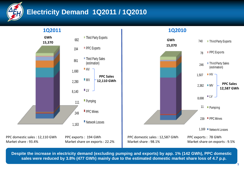

## **Electricity Demand 1Q2011 / 1Q2010**

**1Q2011**

**1Q2010**



**Despite the increase in electricity demand (excluding pumping and exports) by app. 1% (142 GWh), PPC domestic sales were reduced by 3.8% (477 GWh) mainly due to the estimated domestic market share loss of 4.7 p.p.**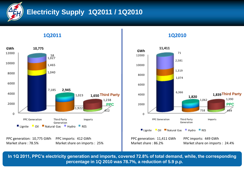

Market share : 78.5%

## **Electricity Supply 1Q2011 / 1Q2010**

**1Q2011 1Q2010**



Market share on imports : 25%



**In 1Q 2011, PPC's electricity generation and imports, covered 72.8% of total demand, while, the corresponding percentage in 1Q 2010 was 78.7%, a reduction of 5.9 p.p.**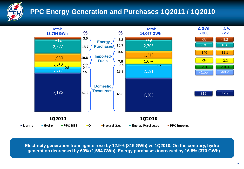

## **PPC Energy Generation and Purchases 1Q2011 / 1Q2010**



**Electricity generation from lignite rose by 12.9% (819 GWh) vs 1Q2010. On the contrary, hydro generation decreased by 60% (1,554 GWh). Energy purchases increased by 16.8% (370 GWh).**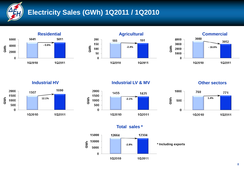

## **Electricity Sales (GWh) 1Q2011 / 1Q2010**









#### **Industrial HV Industrial LV & MV**



#### **Other sectors**





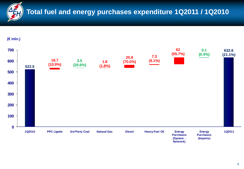

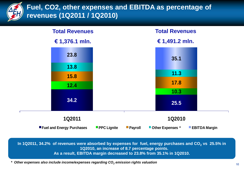

### **Fuel, CO2, other expenses and EBITDA as percentage of revenues (1Q2011 / 1Q2010)**



**In 1Q2011, 34.2% of revenues were absorbed by expenses for fuel, energy purchases and CO<sup>2</sup> vs 25.5% in 1Q2010, an increase of 8.7 percentage points. As a result, EBITDA margin decreased to 23.8% from 35.1% in 1Q2010.**

*\* Other expenses also include income/expenses regarding CO<sup>2</sup> emission rights valuation*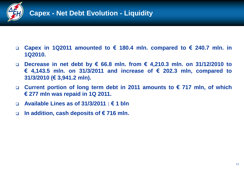

- **Capex in 1Q2011 amounted to € 180.4 mln. compared to € 240.7 mln. in 1Q2010.**
- **Decrease in net debt by € 66.8 mln. from € 4,210.3 mln. on 31/12/2010 to € 4,143.5 mln. on 31/3/2011 and increase of € 202.3 mln, compared to 31/3/2010 (€ 3,941.2 mln).**
- **Current portion of long term debt in 2011 amounts to € 717 mln, of which € 277 mln was repaid in 1Q 2011.**
- **Available Lines as of 31/3/2011 : € 1 bln**
- **In addition, cash deposits of € 716 mln.**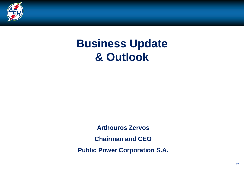

# **Business Update & Outlook**

**Arthouros Zervos Chairman and CEO Public Power Corporation S.A.**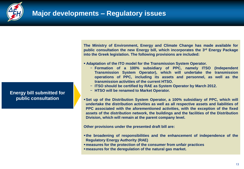

**Energy bill submitted for public consultation**

**The Ministry of Environment, Energy and Climate Change has made available for public consultation the new Energy bill, which incorporates the 3 rd Energy Package into the Greek legislation. The following provisions are included:**

- **Adaptation of the ITO model for the Transmission System Operator.**
	- − **Formation of a 100% subsidiary of PPC, namely ITSO (Independent Transmission System Operator), which will undertake the transmission operations of PPC, including its assets and personnel, as well as the transmission activities of the current HTSO.**
	- − **ITSO should be certified by RAE as System Operator by March 2012.**
	- − **HTSO will be renamed to Market Operator.**
- **Set up of the Distribution System Operator, a 100% subsidiary of PPC, which will undertake the distribution activities as well as all respective assets and liabilities of PPC associated with the aforementioned activities, with the exception of the fixed assets of the distribution network, the buildings and the facilities of the Distribution Division, which will remain at the parent company level.**

**Other provisions under the presented draft bill are:**

- **the broadening of responsibilities and the enhancement of independence of the Regulatory Energy Authority (RAE)**
- **measures for the protection of the consumer from unfair practices**
- **measures for the deregulation of the natural gas market.**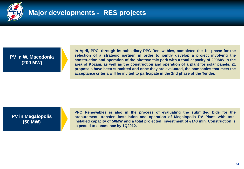

**PV in W. Macedonia (200 MW)**

**In April, PPC, through its subsidiary PPC Renewables, completed the 1st phase for the selection of a strategic partner, in order to jointly develop a project involving the construction and operation of the photovoltaic park with a total capacity of 200MW in the area of Kozani, as well as the construction and operation of a plant for solar panels. 21 proposals have been submitted and once they are evaluated, the companies that meet the acceptance criteria will be invited to participate in the 2nd phase of the Tender.**

**PV in Megalopolis (50 MW)**

**PPC Renewables is also in the process of evaluating the submitted bids for the procurement, transfer, installation and operation of Megalopolis PV Plant, with total installed capacity of 50MW and a total projected investment of €140 mln. Construction is expected to commence by 1Q2012.**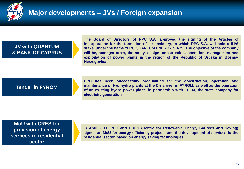

### **Major developments – JVs / Foreign expansion**

#### **JV with QUANTUM & BANK OF CYPRUS**

**The Board of Directors of PPC S.A. approved the signing of the Articles of Incorporation for the formation of a subsidiary, in which PPC S.A. will hold a 51% stake, under the name "PPC QUANTUM ENERGY S.A.". The objective of the company will be, amongst other, the study, design, construction, operation, management and exploitation of power plants in the region of the Republic of Srpska in Bosnia-Herzegovina.**

#### **Tender in FYROM**

**PPC has been successfully prequalified for the construction, operation and maintenance of two hydro plants at the Crna river in FYROM, as well as the operation of an existing hydro power plant in partnership with ELEM, the state company for electricity generation.**

**MoU with CRES for provision of energy services to residential sector**

**In April 2011, PPC and CRES (Centre for Renewable Energy Sources and Saving) signed an MoU for energy efficiency projects and the development of services to the residential sector, based on energy saving technologies.**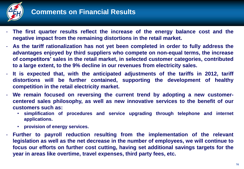

- **The first quarter results reflect the increase of the energy balance cost and the negative impact from the remaining distortions in the retail market.**
- **As the tariff rationalization has not yet been completed in order to fully address the advantages enjoyed by third suppliers who compete on non-equal terms, the increase of competitors' sales in the retail market, in selected customer categories, contributed to a large extent, to the 9% decline in our revenues from electricity sales.**
- **It is expected that, with the anticipated adjustments of the tariffs in 2012, tariff distortions will be further contained, supporting the development of healthy competition in the retail electricity market.**
- **We remain focused on reversing the current trend by adopting a new customercentered sales philosophy, as well as new innovative services to the benefit of our customers such as:**
	- **simplification of procedures and service upgrading through telephone and internet applications.**
	- **provision of energy services.**
- **Further to payroll reduction resulting from the implementation of the relevant legislation as well as the net decrease in the number of employees, we will continue to focus our efforts on further cost cutting, having set additional savings targets for the year in areas like overtime, travel expenses, third party fees, etc.**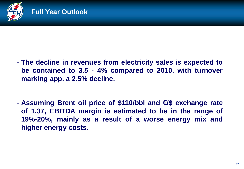

- **The decline in revenues from electricity sales is expected to be contained to 3.5 - 4% compared to 2010, with turnover marking app. a 2.5% decline.**
- **Assuming Brent oil price of \$110/bbl and €/\$ exchange rate of 1.37, EBITDA margin is estimated to be in the range of 19%-20%, mainly as a result of a worse energy mix and higher energy costs.**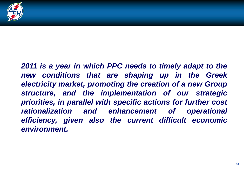

*2011 is a year in which PPC needs to timely adapt to the new conditions that are shaping up in the Greek electricity market, promoting the creation of a new Group structure, and the implementation of our strategic priorities, in parallel with specific actions for further cost rationalization and enhancement of operational efficiency, given also the current difficult economic environment.*